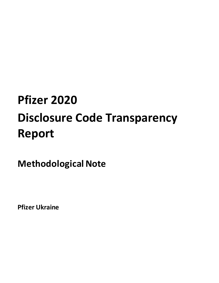# **Pfizer 2020 Disclosure Code Transparency Report**

**Methodological Note**

**Pfizer Ukraine**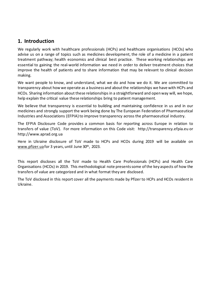#### <span id="page-2-0"></span>**1. Introduction**

We regularly work with healthcare professionals (HCPs) and healthcare organisations (HCOs) who advise us on a range of topics such as medicines development, the role of a medicine in a patient treatment pathway; health economics and clinical best practice. These working relationships are essential to gaining the real-world information we need in order to deliver treatment choices that improve the health of patients and to share information that may be relevant to clinical decision making.

We want people to know, and understand, what we do and how we do it. We are committed to transparency about how we operate as a business and about the relationships we have with HCPs and HCOs. Sharing information about these relationships in a straightforward and open way will, we hope, help explain the critical value these relationships bring to patient management.

We believe that transparency is essential to building and maintaining confidence in us and in our medicines and strongly support the work being done by The European Federation of Pharmaceutical Industries and Associations (EFPIA) to improve transparency across the pharmaceutical industry.

The EFPIA Disclosure Code provides a common basis for reporting across Europe in relation to transfers of value (ToV). For more information on this Code visit: http://transparency.efpia.eu or http://www.aprad.org.ua

Here in Ukraine disclosure of ToV made to HCPs and HCOs during 2019 will be available on [www.pfizer.ua](http://www.pfizer.ua/)for 3 years, until June 30th, 2023.

This report discloses all the ToV made to Health Care Professionals (HCPs) and Health Care Organisations (HCOs) in 2019. This methodological note presents some of the key aspects of how the transfers of value are categorized and in what format they are disclosed.

The ToV disclosed in this report cover all the payments made by Pfizer to HCPs and HCOs resident in Ukraine.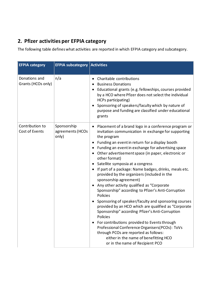## <span id="page-3-0"></span>**2. Pfizer activities per EFPIA category**

The following table defines what activities are reported in which EFPIA category and subcategory.

| <b>EFPIA category</b>               | <b>EFPIA subcategory Activities</b>      |                                                                                                                                                                                                                                                                                                                                                                                                                                                                                                                                                                                                                                                                                                                                                                                                                                                                                                                                                                                                                                   |
|-------------------------------------|------------------------------------------|-----------------------------------------------------------------------------------------------------------------------------------------------------------------------------------------------------------------------------------------------------------------------------------------------------------------------------------------------------------------------------------------------------------------------------------------------------------------------------------------------------------------------------------------------------------------------------------------------------------------------------------------------------------------------------------------------------------------------------------------------------------------------------------------------------------------------------------------------------------------------------------------------------------------------------------------------------------------------------------------------------------------------------------|
| Donations and<br>Grants (HCOs only) | n/a                                      | Charitable contributions<br><b>Business Donations</b><br>Educational grants (e.g. fellowships, courses provided<br>by a HCO where Pfizer does not select the individual<br>HCPs participating)<br>Sponsoring of speakers/faculty which by nature of<br>purpose and funding are classified under educational<br>grants                                                                                                                                                                                                                                                                                                                                                                                                                                                                                                                                                                                                                                                                                                             |
| Contribution to<br>Cost of Events   | Sponsorship<br>agreements (HCOs<br>only) | Placement of a brand logo in a conference program or<br>invitation communication in exchange for supporting<br>the program<br>Funding an event in return for a display booth<br>Funding an event in exchange for advertising space<br>$\bullet$<br>Other advertisement space (in paper, electronic or<br>$\bullet$<br>other format)<br>Satellite symposia at a congress<br>• If part of a package: Name badges, drinks, meals etc.<br>provided by the organizers (included in the<br>sponsorship agreement)<br>Any other activity qualified as "Corporate<br>Sponsorship" according to Pfizer's Anti-Corruption<br>Policies<br>Sponsoring of speaker/faculty and sponsoring courses<br>provided by an HCO which are qualified as "Corporate<br>Sponsorship" according Pfizer's Anti-Corruption<br>Policies<br>For contributions provided to Events through<br>Professional Conference Organisers(PCOs): ToVs<br>through PCOs are reported as follows:<br>either in the name of benefitting HCO<br>or in the name of Recipient PCO |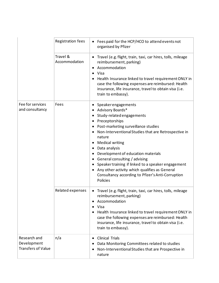|                                                          | Registration fees         | Fees paid for the HCP/HCO to attend events not<br>organised by Pfizer                                                                                                                                                                                                                                                                                                                                                                                                                         |
|----------------------------------------------------------|---------------------------|-----------------------------------------------------------------------------------------------------------------------------------------------------------------------------------------------------------------------------------------------------------------------------------------------------------------------------------------------------------------------------------------------------------------------------------------------------------------------------------------------|
|                                                          | Travel &<br>Accommodation | Travel (e.g. flight, train, taxi, car hires, tolls, mileage<br>reimbursement, parking)<br>Accommodation<br>Visa<br>$\bullet$<br>Health Insurance linked to travel requirement ONLY in<br>case the following expenses are reimbursed: Health<br>insurance, life insurance, travel to obtain visa (i.e.<br>train to embassy).                                                                                                                                                                   |
| Fee for services<br>and consultancy                      | Fees                      | Speakerengagements<br>Advisory Boards*<br>Study-related engagements<br>Preceptorships<br>Post-marketing surveillance studies<br>Non-Interventional Studies that are Retrospective in<br>nature<br><b>Medical writing</b><br>Data analysis<br>٠<br>Development of education materials<br>General consulting / advising<br>Speaker training if linked to a speaker engagement<br>Any other activity which qualifies as General<br>Consultancy according to Pfizer's Anti-Corruption<br>Policies |
|                                                          | Related expenses          | Travel (e.g. flight, train, taxi, car hires, tolls, mileage<br>reimbursement, parking)<br>Accommodation<br>Visa<br>Health Insurance linked to travel requirement ONLY in<br>case the following expenses are reimbursed: Health<br>insurance, life insurance, travel to obtain visa (i.e.<br>train to embassy).                                                                                                                                                                                |
| Research and<br>Development<br><b>Transfers of Value</b> | n/a                       | <b>Clinical Trials</b><br>Data Monitoring Committees related to studies<br>Non-Interventional Studies that are Prospective in<br>nature                                                                                                                                                                                                                                                                                                                                                       |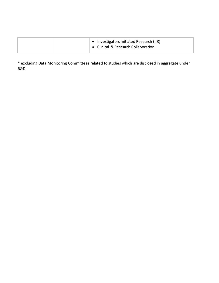|  | • Investigators Initiated Research (IIR)<br>Clinical & Research Collaboration |
|--|-------------------------------------------------------------------------------|
|--|-------------------------------------------------------------------------------|

\* excluding Data Monitoring Committees related to studies which are disclosed in aggregate under R&D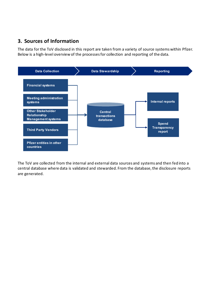## <span id="page-6-0"></span>**3. Sources of Information**

The data for the ToV disclosed in this report are taken from a variety of source systems within Pfizer. Below is a high-level overview of the processes for collection and reporting of the data.



The ToV are collected from the internal and external data sources and systems and then fed into a central database where data is validated and stewarded. From the database, the disclosure reports are generated.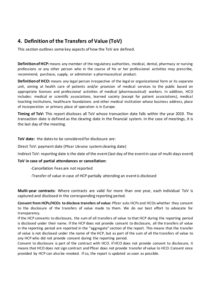### <span id="page-7-0"></span>**4. Definition of the Transfers of Value (ToV)**

This section outlines some key aspects of how the ToV are defined.

**Definition of HCP:** means any member of the regulatory authorities, medical, dental, pharmacy or nursing professions or any other person who in the course of his or her professional activities may prescribe, recommend, purchase, supply, or administer a pharmaceutical product.

**Definition of HCO:** means any legal person irrespective of the legal or organizational form or its separate unit, aiming at health care of patients and/or provision of medical services to the public based on appropriate licenses and professional activities of medical (pharmaceutical) workers. In addition, HCO includes: medical or scientific associations, learned society (except for patient associations), medical teaching institutions, healthcare foundations and other medical institution whose business address, place of incorporation or primary place of operation is in Europe.

**Timing of ToV:** This report discloses all ToV whose transaction date falls within the year 2019. The transaction date is defined as the clearing date in the financial system. In the case of meetings, it is the last day of the meeting.

**ToV date:** the dates to be considered for disclosure are:

Direct ToV: payment date (Pfizer Ukraine system clearing date)

Indirect ToV: reporting date is the date of the event (last day of the event in case of multi-days event)

#### **ToV in case of partial attendances or cancellation:**

-Cancellation Fees are not reported

-Transfer of value in case of HCP partially attending an event is disclosed

**Multi-year contracts:** Where contracts are valid for more than one year, each individual ToV is captured and disclosed in the corresponding reporting period.

**Consent from HCPs/HCOs to disclose transfers of value:** Pfizer asks HCPs and HCOs whether they consent to the disclosure of the transfers of value made to them. We do our best effort to advocate for transparency.

If the HCP consents to disclosure, the sum of all transfers of value to that HCP during the reporting period is disclosed under their name. If the HCP does not provide consent to disclosure, all the transfers of value in the reporting period are reported in the "aggregate" section of the report. This means that the transfer of value is not disclosed under the name of the HCP, but as part of the sum of all the transfers of value to any HCP who did not provide consent during the reporting period.

Consent to disclosure is part of the contract with HCO. If HCO does not provide consent to disclosure, it means that HCO does not sign contract and Pfizer does not provide transfer of value to HCO. Consent once provided by HCP can also be revoked. If so, the report is updated as soon as possible.